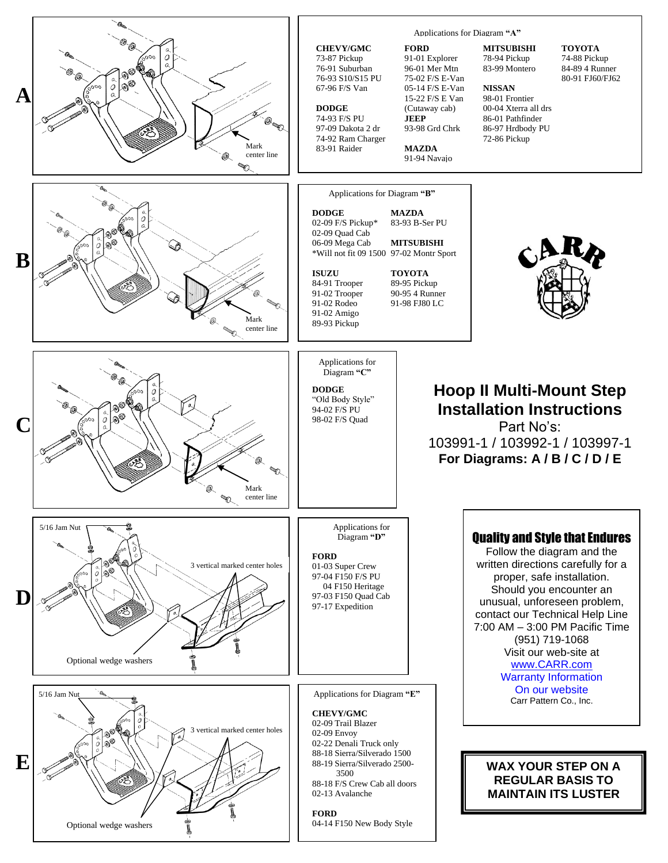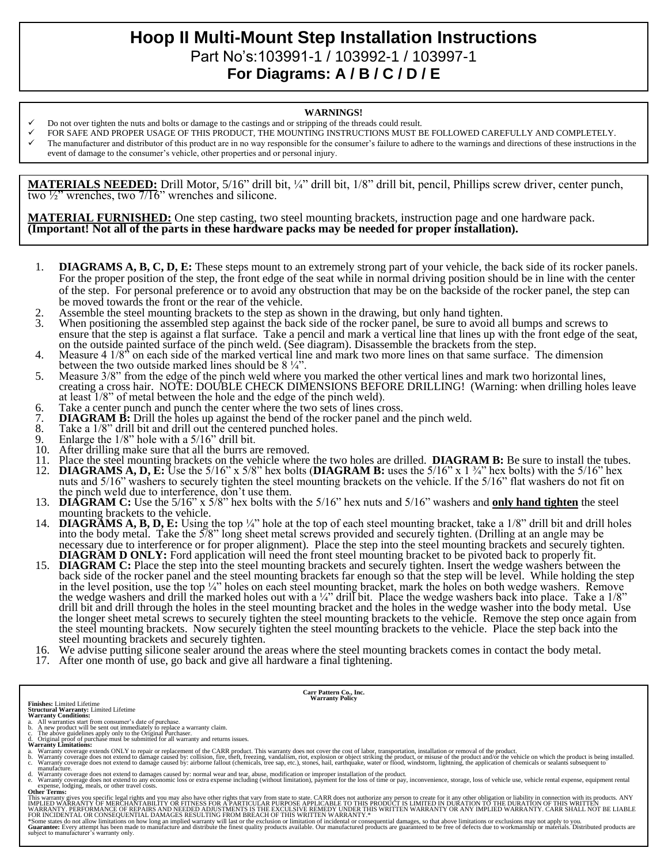## **Hoop II Multi-Mount Step Installation Instructions**  Part No's:103991-1 / 103992-1 / 103997-1 **For Diagrams: A / B / C / D / E**

#### **WARNINGS!**

- Do not over tighten the nuts and bolts or damage to the castings and or stripping of the threads could result.
- FOR SAFE AND PROPER USAGE OF THIS PRODUCT, THE MOUNTING INSTRUCTIONS MUST BE FOLLOWED CAREFULLY AND COMPLETELY.
- The manufacturer and distributor of this product are in no way responsible for the consumer's failure to adhere to the warnings and directions of these instructions in the event of damage to the consumer's vehicle, other properties and or personal injury.

**MATERIALS NEEDED:** Drill Motor, 5/16" drill bit, ¼" drill bit, 1/8" drill bit, pencil, Phillips screw driver, center punch, two  $\frac{1}{2}$ " wrenches, two  $\frac{7}{16}$ " wrenches and silicone.

**MATERIAL FURNISHED:** One step casting, two steel mounting brackets, instruction page and one hardware pack. **(Important! Not all of the parts in these hardware packs may be needed for proper installation).**

- 1. **DIAGRAMS A, B, C, D, E:** These steps mount to an extremely strong part of your vehicle, the back side of its rocker panels. For the proper position of the step, the front edge of the seat while in normal driving position should be in line with the center of the step. For personal preference or to avoid any obstruction that may be on the backside of the rocker panel, the step can be moved towards the front or the rear of the vehicle.
- 2. Assemble the steel mounting brackets to the step as shown in the drawing, but only hand tighten.<br>3. When positioning the assembled step against the back side of the rocker panel, be sure to avoid a
- When positioning the assembled step against the back side of the rocker panel, be sure to avoid all bumps and screws to ensure that the step is against a flat surface. Take a pencil and mark a vertical line that lines up with the front edge of the seat, on the outside painted surface of the pinch weld. (See diagram). Disassemble the brackets from the step.
- 4. Measure 4 1/8" on each side of the marked vertical line and mark two more lines on that same surface. The dimension between the two outside marked lines should be 8 ¼".
- 5. Measure 3/8" from the edge of the pinch weld where you marked the other vertical lines and mark two horizontal lines, creating a cross hair. NOTE: DOUBLE CHECK DIMENSIONS BEFORE DRILLING! (Warning: when drilling holes leave at least 1/8" of metal between the hole and the edge of the pinch weld).
- 6. Take a center punch and punch the center where the two sets of lines cross.
- 7. **DIAGRAM B:** Drill the holes up against the bend of the rocker panel and the pinch weld.<br>8. Take a 1/8" drill bit and drill out the centered punched holes.
- Take a 1/8" drill bit and drill out the centered punched holes.
- 9. Enlarge the  $1/8$ " hole with a  $5/16$ " drill bit.<br>10. After drilling make sure that all the burrs as
- After drilling make sure that all the burrs are removed.
- 11. Place the steel mounting brackets on the vehicle where the two holes are drilled. **DIAGRAM B:** Be sure to install the tubes.
- 12. **DIAGRAMS A, D, E:** Use the 5/16" x 5/8" hex bolts (**DIAGRAM B:** uses the 5/16" x 1 ¾" hex bolts) with the 5/16" hex nuts and 5/16" washers to securely tighten the steel mounting brackets on the vehicle. If the 5/16" flat washers do not fit on the pinch weld due to interference, don't use them.
- 13. **DIAGRAM C:** Use the 5/16" x 5/8" hex bolts with the 5/16" hex nuts and 5/16" washers and **only hand tighten** the steel mounting brackets to the vehicle.
- 14. **DIAGRAMS A, B, D, E:** Using the top ¼" hole at the top of each steel mounting bracket, take a 1/8" drill bit and drill holes into the body metal. Take the 5/8" long sheet metal screws provided and securely tighten. (Drilling at an angle may be necessary due to interference or for proper alignment). Place the step into the steel mounting brackets and securely tighten. **DIAGRAM D ONLY:** Ford application will need the front steel mounting bracket to be pivoted back to properly fit.
- 15. **DIAGRAM C:** Place the step into the steel mounting brackets and securely tighten. Insert the wedge washers between the back side of the rocker panel and the steel mounting brackets far enough so that the step will be level. While holding the step in the level position, use the top ¼" holes on each steel mounting bracket, mark the holes on both wedge washers. Remove the wedge washers and drill the marked holes out with a  $\frac{1}{4}$  drill bit. Place the wedge washers back into place. Take a  $\frac{1}{8}$ drill bit and drill through the holes in the steel mounting bracket and the holes in the wedge washer into the body metal. Use the longer sheet metal screws to securely tighten the steel mounting brackets to the vehicle. Remove the step once again from the steel mounting brackets. Now securely tighten the steel mounting brackets to the vehicle. Place the step back into the steel mounting brackets and securely tighten.
- 16. We advise putting silicone sealer around the areas where the steel mounting brackets comes in contact the body metal.
- 17. After one month of use, go back and give all hardware a final tightening.

**Carr Pattern Co., Inc. Warranty Policy**

- 
- 
- **Finishes:** Limited Lifetime<br>**Structural Warranty:** Limited Lifetime<br>**Warranty Conditions:**<br>**Warranty Conditions:**<br>b. A new product will be sent out immediately to replace a warranty claim.<br>b. A new product will be sent ou
- 
- a. Warranty coverage extends ONLY to repair or replacement of the CARR product. This warranty does not cover the cost of labor, transportation, installation or removal of the product.<br>b. Warranty coverage does not extend t
- manufacture.<br>
A Warranty coverage does not extend to damages caused by: normal wear and tear, abuse, modification or improper installation of the product.<br>
A Warranty coverage does not extend to any economic loss or extra

**Other Terms:**

This warranty gives you specific legal rights and you may also have other rights that vary from state to state. CARR does not authorize any person to create for it any other obligation or liability in connection with its p

\*Some states do not allow limitations on how long an implied warranty will last or the exclusion or limitation of incidental or consequential damages, so that above limitations or exclusions may not apply to you.<br>Guarantee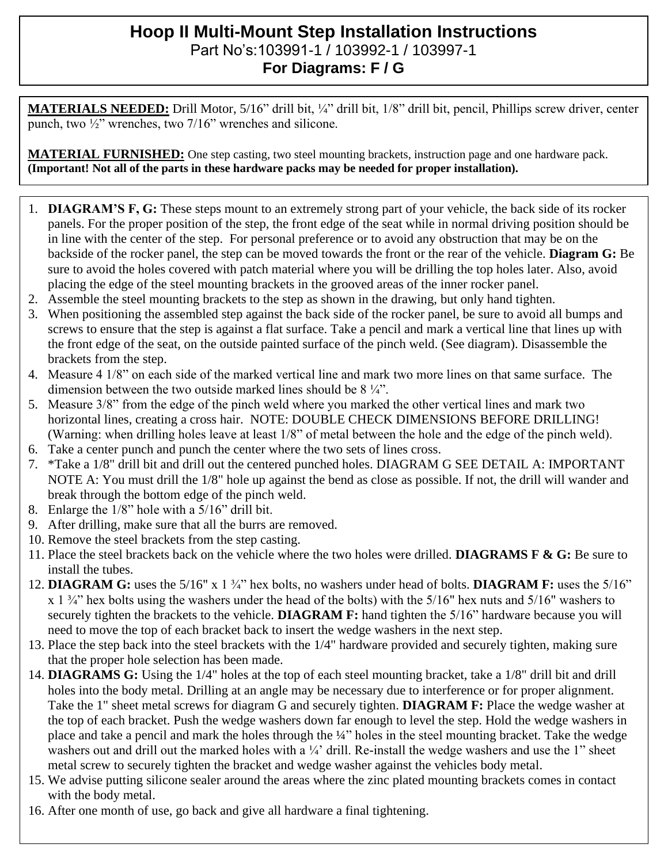### **Hoop II Multi-Mount Step Installation Instructions**  Part No's:103991-1 / 103992-1 / 103997-1 **For Diagrams: F / G**

**MATERIALS NEEDED:** Drill Motor, 5/16" drill bit, ¼" drill bit, 1/8" drill bit, pencil, Phillips screw driver, center punch, two ½" wrenches, two 7/16" wrenches and silicone.

**MATERIAL FURNISHED:** One step casting, two steel mounting brackets, instruction page and one hardware pack. **(Important! Not all of the parts in these hardware packs may be needed for proper installation).**

- 1. **DIAGRAM'S F, G:** These steps mount to an extremely strong part of your vehicle, the back side of its rocker panels. For the proper position of the step, the front edge of the seat while in normal driving position should be in line with the center of the step. For personal preference or to avoid any obstruction that may be on the backside of the rocker panel, the step can be moved towards the front or the rear of the vehicle. **Diagram G:** Be sure to avoid the holes covered with patch material where you will be drilling the top holes later. Also, avoid placing the edge of the steel mounting brackets in the grooved areas of the inner rocker panel.
- 2. Assemble the steel mounting brackets to the step as shown in the drawing, but only hand tighten.
- 3. When positioning the assembled step against the back side of the rocker panel, be sure to avoid all bumps and screws to ensure that the step is against a flat surface. Take a pencil and mark a vertical line that lines up with the front edge of the seat, on the outside painted surface of the pinch weld. (See diagram). Disassemble the brackets from the step.
- 4. Measure 4 1/8" on each side of the marked vertical line and mark two more lines on that same surface. The dimension between the two outside marked lines should be 8 ¼".
- 5. Measure 3/8" from the edge of the pinch weld where you marked the other vertical lines and mark two horizontal lines, creating a cross hair. NOTE: DOUBLE CHECK DIMENSIONS BEFORE DRILLING! (Warning: when drilling holes leave at least 1/8" of metal between the hole and the edge of the pinch weld).
- 6. Take a center punch and punch the center where the two sets of lines cross.
- 7. \*Take a 1/8" drill bit and drill out the centered punched holes. DIAGRAM G SEE DETAIL A: IMPORTANT NOTE A: You must drill the 1/8" hole up against the bend as close as possible. If not, the drill will wander and break through the bottom edge of the pinch weld.
- 8. Enlarge the 1/8" hole with a 5/16" drill bit.
- 9. After drilling, make sure that all the burrs are removed.
- 10. Remove the steel brackets from the step casting.
- 11. Place the steel brackets back on the vehicle where the two holes were drilled. **DIAGRAMS F & G:** Be sure to install the tubes.
- 12. **DIAGRAM G:** uses the 5/16" x 1 ¾" hex bolts, no washers under head of bolts. **DIAGRAM F:** uses the 5/16"  $x_1 \frac{3}{4}$  hex bolts using the washers under the head of the bolts) with the 5/16" hex nuts and 5/16" washers to securely tighten the brackets to the vehicle. **DIAGRAM F:** hand tighten the 5/16" hardware because you will need to move the top of each bracket back to insert the wedge washers in the next step.
- 13. Place the step back into the steel brackets with the 1/4" hardware provided and securely tighten, making sure that the proper hole selection has been made.
- 14. **DIAGRAMS G:** Using the 1/4" holes at the top of each steel mounting bracket, take a 1/8" drill bit and drill holes into the body metal. Drilling at an angle may be necessary due to interference or for proper alignment. Take the 1" sheet metal screws for diagram G and securely tighten. **DIAGRAM F:** Place the wedge washer at the top of each bracket. Push the wedge washers down far enough to level the step. Hold the wedge washers in place and take a pencil and mark the holes through the ¼" holes in the steel mounting bracket. Take the wedge washers out and drill out the marked holes with a <sup>1</sup>/<sub>4</sub>' drill. Re-install the wedge washers and use the 1" sheet metal screw to securely tighten the bracket and wedge washer against the vehicles body metal.
- 15. We advise putting silicone sealer around the areas where the zinc plated mounting brackets comes in contact with the body metal.
- 16. After one month of use, go back and give all hardware a final tightening.